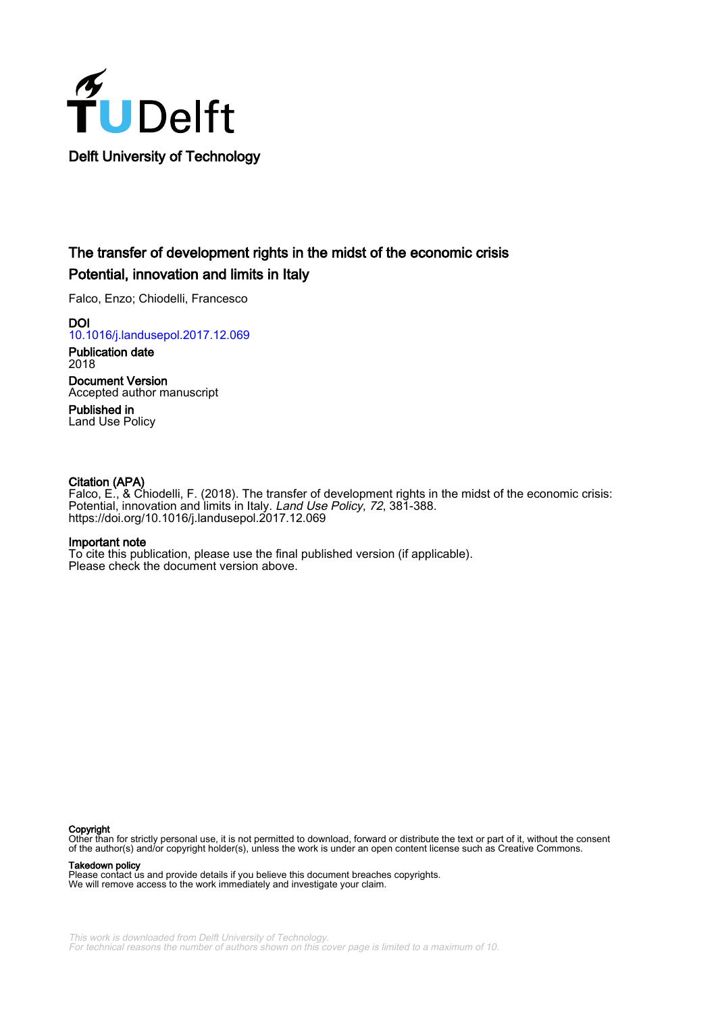

# The transfer of development rights in the midst of the economic crisis Potential, innovation and limits in Italy

Falco, Enzo; Chiodelli, Francesco

**DOI** [10.1016/j.landusepol.2017.12.069](https://doi.org/10.1016/j.landusepol.2017.12.069)

Publication date 2018

Document Version Accepted author manuscript

Published in Land Use Policy

# Citation (APA)

Falco, E., & Chiodelli, F. (2018). The transfer of development rights in the midst of the economic crisis: Potential, innovation and limits in Italy. Land Use Policy, 72, 381-388. <https://doi.org/10.1016/j.landusepol.2017.12.069>

## Important note

To cite this publication, please use the final published version (if applicable). Please check the document version above.

#### Copyright

Other than for strictly personal use, it is not permitted to download, forward or distribute the text or part of it, without the consent of the author(s) and/or copyright holder(s), unless the work is under an open content license such as Creative Commons.

Takedown policy

Please contact us and provide details if you believe this document breaches copyrights. We will remove access to the work immediately and investigate your claim.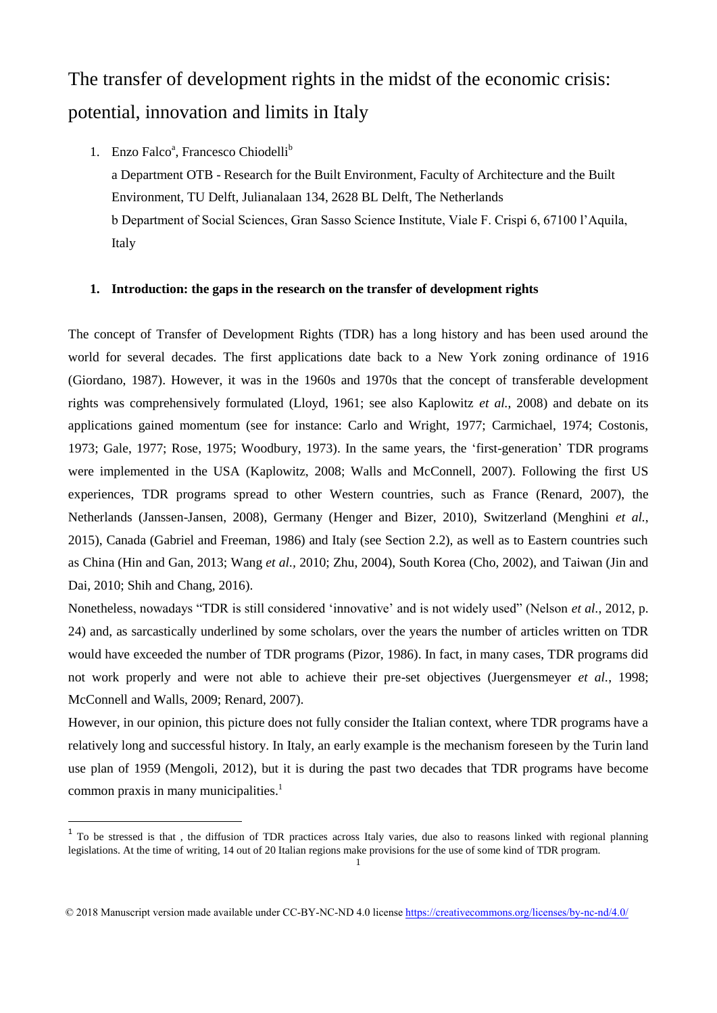# The transfer of development rights in the midst of the economic crisis: potential, innovation and limits in Italy

1. Enzo Falco<sup>a</sup>, Francesco Chiodelli<sup>b</sup>

a Department OTB - Research for the Built Environment, Faculty of Architecture and the Built Environment, TU Delft, Julianalaan 134, 2628 BL Delft, The Netherlands b Department of Social Sciences, Gran Sasso Science Institute, Viale F. Crispi 6, 67100 l'Aquila, Italy

# **1. Introduction: the gaps in the research on the transfer of development rights**

The concept of Transfer of Development Rights (TDR) has a long history and has been used around the world for several decades. The first applications date back to a New York zoning ordinance of 1916 (Giordano, 1987). However, it was in the 1960s and 1970s that the concept of transferable development rights was comprehensively formulated (Lloyd, 1961; see also Kaplowitz *et al.*, 2008) and debate on its applications gained momentum (see for instance: Carlo and Wright, 1977; Carmichael, 1974; Costonis, 1973; Gale, 1977; Rose, 1975; Woodbury, 1973). In the same years, the 'first-generation' TDR programs were implemented in the USA (Kaplowitz, 2008; Walls and McConnell, 2007). Following the first US experiences, TDR programs spread to other Western countries, such as France (Renard, 2007), the Netherlands (Janssen-Jansen, 2008), Germany (Henger and Bizer, 2010), Switzerland (Menghini *et al.*, 2015), Canada (Gabriel and Freeman, 1986) and Italy (see Section 2.2), as well as to Eastern countries such as China (Hin and Gan, 2013; Wang *et al.,* 2010; Zhu, 2004), South Korea (Cho, 2002), and Taiwan (Jin and Dai, 2010; Shih and Chang, 2016).

Nonetheless, nowadays "TDR is still considered 'innovative' and is not widely used" (Nelson *et al.*, 2012, p. 24) and, as sarcastically underlined by some scholars, over the years the number of articles written on TDR would have exceeded the number of TDR programs (Pizor, 1986). In fact, in many cases, TDR programs did not work properly and were not able to achieve their pre-set objectives (Juergensmeyer *et al.*, 1998; McConnell and Walls, 2009; Renard, 2007).

However, in our opinion, this picture does not fully consider the Italian context, where TDR programs have a relatively long and successful history. In Italy, an early example is the mechanism foreseen by the Turin land use plan of 1959 (Mengoli, 2012), but it is during the past two decades that TDR programs have become common praxis in many municipalities.<sup>1</sup>

<sup>1</sup>  <sup>1</sup> To be stressed is that, the diffusion of TDR practices across Italy varies, due also to reasons linked with regional planning legislations. At the time of writing, 14 out of 20 Italian regions make provisions for the use of some kind of TDR program.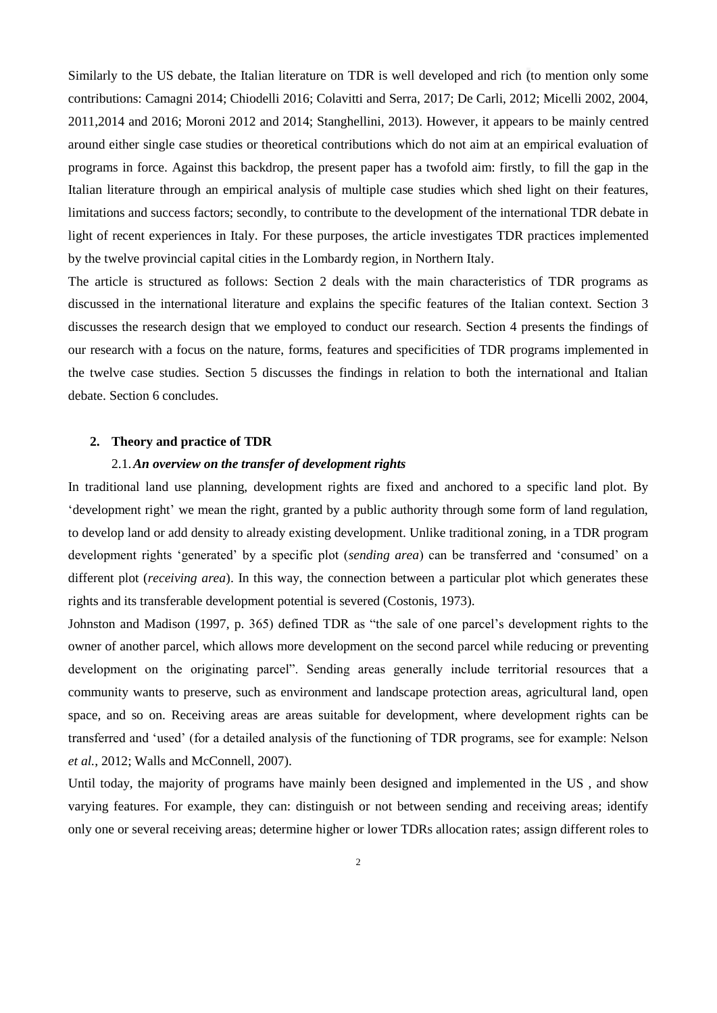Similarly to the US debate, the Italian literature on TDR is well developed and rich (to mention only some contributions: Camagni 2014; Chiodelli 2016; Colavitti and Serra, 2017; De Carli, 2012; Micelli 2002, 2004, 2011,2014 and 2016; Moroni 2012 and 2014; Stanghellini, 2013). However, it appears to be mainly centred around either single case studies or theoretical contributions which do not aim at an empirical evaluation of programs in force. Against this backdrop, the present paper has a twofold aim: firstly, to fill the gap in the Italian literature through an empirical analysis of multiple case studies which shed light on their features, limitations and success factors; secondly, to contribute to the development of the international TDR debate in light of recent experiences in Italy. For these purposes, the article investigates TDR practices implemented by the twelve provincial capital cities in the Lombardy region, in Northern Italy.

The article is structured as follows: Section 2 deals with the main characteristics of TDR programs as discussed in the international literature and explains the specific features of the Italian context. Section 3 discusses the research design that we employed to conduct our research. Section 4 presents the findings of our research with a focus on the nature, forms, features and specificities of TDR programs implemented in the twelve case studies. Section 5 discusses the findings in relation to both the international and Italian debate. Section 6 concludes.

# **2. Theory and practice of TDR**

#### 2.1.*An overview on the transfer of development rights*

In traditional land use planning, development rights are fixed and anchored to a specific land plot. By 'development right' we mean the right, granted by a public authority through some form of land regulation, to develop land or add density to already existing development. Unlike traditional zoning, in a TDR program development rights 'generated' by a specific plot (*sending area*) can be transferred and 'consumed' on a different plot (*receiving area*). In this way, the connection between a particular plot which generates these rights and its transferable development potential is severed (Costonis, 1973).

Johnston and Madison (1997, p. 365) defined TDR as "the sale of one parcel's development rights to the owner of another parcel, which allows more development on the second parcel while reducing or preventing development on the originating parcel". Sending areas generally include territorial resources that a community wants to preserve, such as environment and landscape protection areas, agricultural land, open space, and so on. Receiving areas are areas suitable for development, where development rights can be transferred and 'used' (for a detailed analysis of the functioning of TDR programs, see for example: Nelson *et al.*, 2012; Walls and McConnell, 2007).

Until today, the majority of programs have mainly been designed and implemented in the US , and show varying features. For example, they can: distinguish or not between sending and receiving areas; identify only one or several receiving areas; determine higher or lower TDRs allocation rates; assign different roles to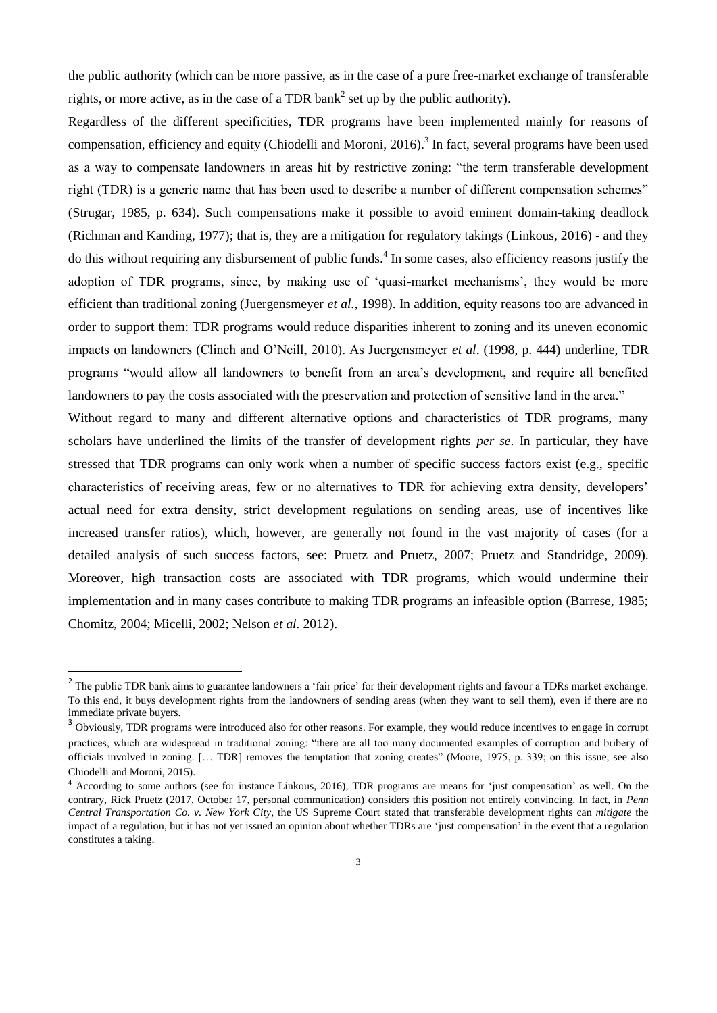the public authority (which can be more passive, as in the case of a pure free-market exchange of transferable rights, or more active, as in the case of a TDR bank<sup>2</sup> set up by the public authority).

Regardless of the different specificities, TDR programs have been implemented mainly for reasons of compensation, efficiency and equity (Chiodelli and Moroni,  $2016$ ).<sup>3</sup> In fact, several programs have been used as a way to compensate landowners in areas hit by restrictive zoning: "the term transferable development right (TDR) is a generic name that has been used to describe a number of different compensation schemes" (Strugar, 1985, p. 634). Such compensations make it possible to avoid eminent domain-taking deadlock (Richman and Kanding, 1977); that is, they are a mitigation for regulatory takings (Linkous, 2016) - and they do this without requiring any disbursement of public funds.<sup>4</sup> In some cases, also efficiency reasons justify the adoption of TDR programs, since, by making use of 'quasi-market mechanisms', they would be more efficient than traditional zoning (Juergensmeyer *et al.*, 1998). In addition, equity reasons too are advanced in order to support them: TDR programs would reduce disparities inherent to zoning and its uneven economic impacts on landowners (Clinch and O'Neill, 2010). As Juergensmeyer *et al*. (1998, p. 444) underline, TDR programs "would allow all landowners to benefit from an area's development, and require all benefited landowners to pay the costs associated with the preservation and protection of sensitive land in the area."

Without regard to many and different alternative options and characteristics of TDR programs, many scholars have underlined the limits of the transfer of development rights *per se*. In particular, they have stressed that TDR programs can only work when a number of specific success factors exist (e.g., specific characteristics of receiving areas, few or no alternatives to TDR for achieving extra density, developers' actual need for extra density, strict development regulations on sending areas, use of incentives like increased transfer ratios), which, however, are generally not found in the vast majority of cases (for a detailed analysis of such success factors, see: Pruetz and Pruetz, 2007; Pruetz and Standridge, 2009). Moreover, high transaction costs are associated with TDR programs, which would undermine their implementation and in many cases contribute to making TDR programs an infeasible option (Barrese, 1985; Chomitz, 2004; Micelli, 2002; Nelson *et al.* 2012).

1

<sup>&</sup>lt;sup>2</sup> The public TDR bank aims to guarantee landowners a 'fair price' for their development rights and favour a TDRs market exchange. To this end, it buys development rights from the landowners of sending areas (when they want to sell them), even if there are no immediate private buyers.

<sup>&</sup>lt;sup>3</sup> Obviously, TDR programs were introduced also for other reasons. For example, they would reduce incentives to engage in corrupt practices, which are widespread in traditional zoning: "there are all too many documented examples of corruption and bribery of officials involved in zoning. [… TDR] removes the temptation that zoning creates" (Moore, 1975, p. 339; on this issue, see also Chiodelli and Moroni, 2015).

<sup>4</sup> According to some authors (see for instance Linkous, 2016), TDR programs are means for 'just compensation' as well. On the contrary, Rick Pruetz (2017, October 17, personal communication) considers this position not entirely convincing. In fact, in *Penn Central Transportation Co. v. New York City*, the US Supreme Court stated that transferable development rights can *mitigate* the impact of a regulation, but it has not yet issued an opinion about whether TDRs are 'just compensation' in the event that a regulation constitutes a taking.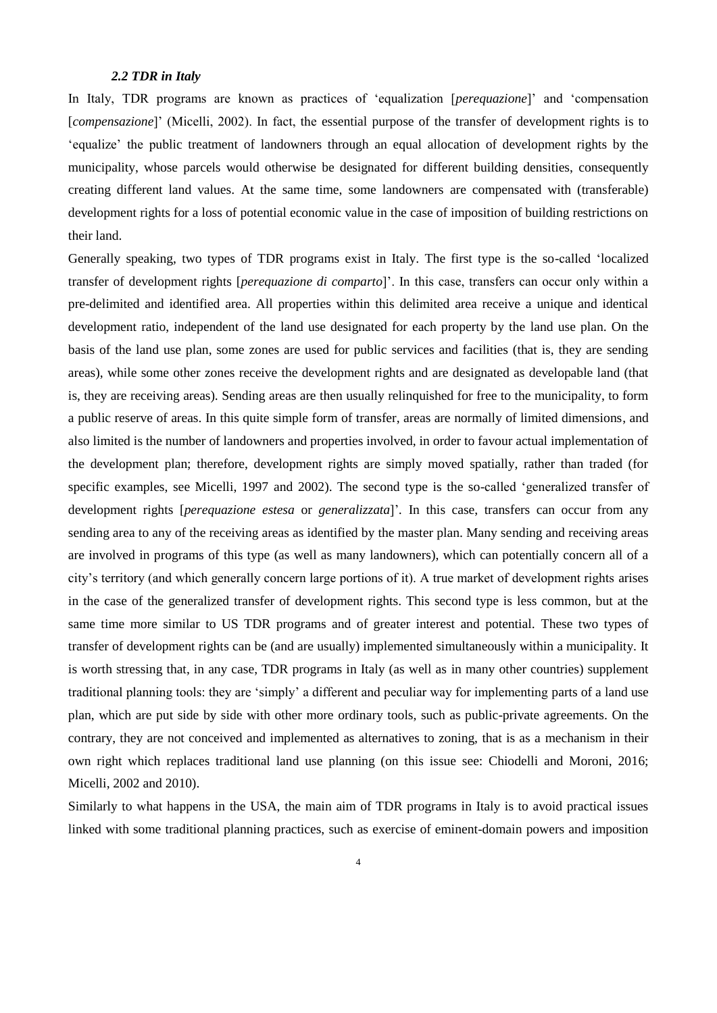#### *2.2 TDR in Italy*

In Italy, TDR programs are known as practices of 'equalization [*perequazione*]' and 'compensation [*compensazione*]' (Micelli, 2002). In fact, the essential purpose of the transfer of development rights is to 'equalize' the public treatment of landowners through an equal allocation of development rights by the municipality, whose parcels would otherwise be designated for different building densities, consequently creating different land values. At the same time, some landowners are compensated with (transferable) development rights for a loss of potential economic value in the case of imposition of building restrictions on their land.

Generally speaking, two types of TDR programs exist in Italy. The first type is the so-called 'localized transfer of development rights [*perequazione di comparto*]'. In this case, transfers can occur only within a pre-delimited and identified area. All properties within this delimited area receive a unique and identical development ratio, independent of the land use designated for each property by the land use plan. On the basis of the land use plan, some zones are used for public services and facilities (that is, they are sending areas), while some other zones receive the development rights and are designated as developable land (that is, they are receiving areas). Sending areas are then usually relinquished for free to the municipality, to form a public reserve of areas. In this quite simple form of transfer, areas are normally of limited dimensions, and also limited is the number of landowners and properties involved, in order to favour actual implementation of the development plan; therefore, development rights are simply moved spatially, rather than traded (for specific examples, see Micelli, 1997 and 2002). The second type is the so-called 'generalized transfer of development rights [*perequazione estesa* or *generalizzata*]'*.* In this case, transfers can occur from any sending area to any of the receiving areas as identified by the master plan. Many sending and receiving areas are involved in programs of this type (as well as many landowners), which can potentially concern all of a city's territory (and which generally concern large portions of it). A true market of development rights arises in the case of the generalized transfer of development rights. This second type is less common, but at the same time more similar to US TDR programs and of greater interest and potential. These two types of transfer of development rights can be (and are usually) implemented simultaneously within a municipality. It is worth stressing that, in any case, TDR programs in Italy (as well as in many other countries) supplement traditional planning tools: they are 'simply' a different and peculiar way for implementing parts of a land use plan, which are put side by side with other more ordinary tools, such as public-private agreements. On the contrary, they are not conceived and implemented as alternatives to zoning, that is as a mechanism in their own right which replaces traditional land use planning (on this issue see: Chiodelli and Moroni, 2016; Micelli, 2002 and 2010).

Similarly to what happens in the USA, the main aim of TDR programs in Italy is to avoid practical issues linked with some traditional planning practices, such as exercise of eminent-domain powers and imposition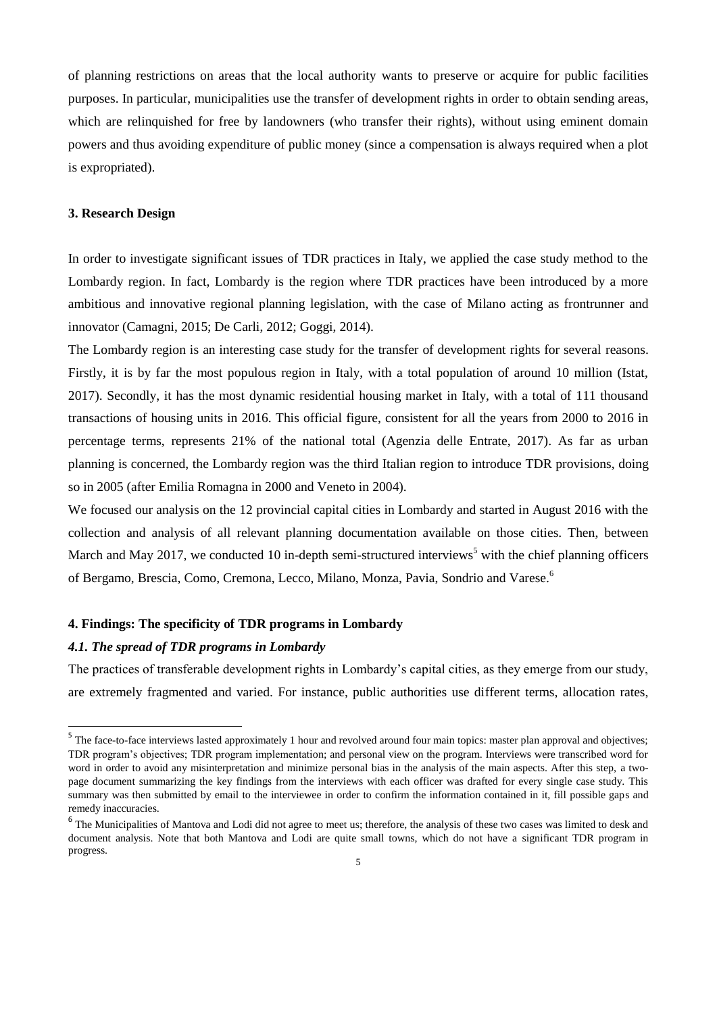of planning restrictions on areas that the local authority wants to preserve or acquire for public facilities purposes. In particular, municipalities use the transfer of development rights in order to obtain sending areas, which are relinquished for free by landowners (who transfer their rights), without using eminent domain powers and thus avoiding expenditure of public money (since a compensation is always required when a plot is expropriated).

# **3. Research Design**

In order to investigate significant issues of TDR practices in Italy, we applied the case study method to the Lombardy region. In fact, Lombardy is the region where TDR practices have been introduced by a more ambitious and innovative regional planning legislation, with the case of Milano acting as frontrunner and innovator (Camagni, 2015; De Carli, 2012; Goggi, 2014).

The Lombardy region is an interesting case study for the transfer of development rights for several reasons. Firstly, it is by far the most populous region in Italy, with a total population of around 10 million (Istat, 2017). Secondly, it has the most dynamic residential housing market in Italy, with a total of 111 thousand transactions of housing units in 2016. This official figure, consistent for all the years from 2000 to 2016 in percentage terms, represents 21% of the national total (Agenzia delle Entrate, 2017). As far as urban planning is concerned, the Lombardy region was the third Italian region to introduce TDR provisions, doing so in 2005 (after Emilia Romagna in 2000 and Veneto in 2004).

We focused our analysis on the 12 provincial capital cities in Lombardy and started in August 2016 with the collection and analysis of all relevant planning documentation available on those cities. Then, between March and May 2017, we conducted 10 in-depth semi-structured interviews<sup>5</sup> with the chief planning officers of Bergamo, Brescia, Como, Cremona, Lecco, Milano, Monza, Pavia, Sondrio and Varese.<sup>6</sup>

# **4. Findings: The specificity of TDR programs in Lombardy**

#### *4.1. The spread of TDR programs in Lombardy*

**.** 

The practices of transferable development rights in Lombardy's capital cities, as they emerge from our study, are extremely fragmented and varied. For instance, public authorities use different terms, allocation rates,

<sup>&</sup>lt;sup>5</sup> The face-to-face interviews lasted approximately 1 hour and revolved around four main topics: master plan approval and objectives; TDR program's objectives; TDR program implementation; and personal view on the program. Interviews were transcribed word for word in order to avoid any misinterpretation and minimize personal bias in the analysis of the main aspects. After this step, a twopage document summarizing the key findings from the interviews with each officer was drafted for every single case study. This summary was then submitted by email to the interviewee in order to confirm the information contained in it, fill possible gaps and remedy inaccuracies.

<sup>&</sup>lt;sup>6</sup> The Municipalities of Mantova and Lodi did not agree to meet us; therefore, the analysis of these two cases was limited to desk and document analysis. Note that both Mantova and Lodi are quite small towns, which do not have a significant TDR program in progress.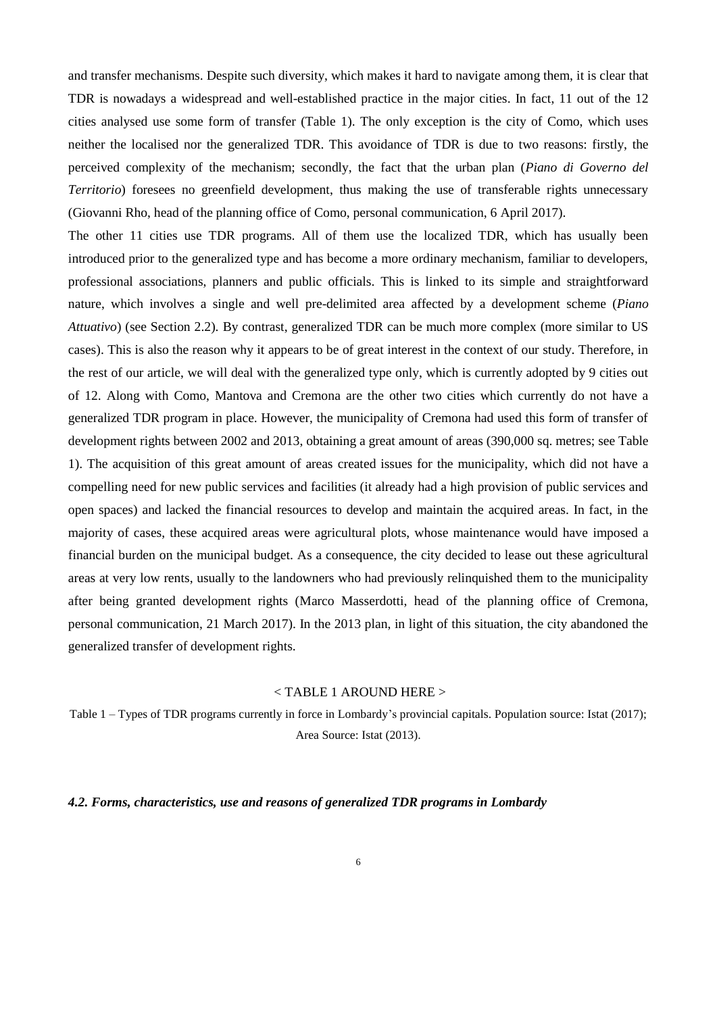and transfer mechanisms. Despite such diversity, which makes it hard to navigate among them, it is clear that TDR is nowadays a widespread and well-established practice in the major cities. In fact, 11 out of the 12 cities analysed use some form of transfer (Table 1). The only exception is the city of Como, which uses neither the localised nor the generalized TDR. This avoidance of TDR is due to two reasons: firstly, the perceived complexity of the mechanism; secondly, the fact that the urban plan (*Piano di Governo del Territorio*) foresees no greenfield development, thus making the use of transferable rights unnecessary (Giovanni Rho, head of the planning office of Como, personal communication, 6 April 2017).

The other 11 cities use TDR programs. All of them use the localized TDR, which has usually been introduced prior to the generalized type and has become a more ordinary mechanism, familiar to developers, professional associations, planners and public officials. This is linked to its simple and straightforward nature, which involves a single and well pre-delimited area affected by a development scheme (*Piano Attuativo*) (see Section 2.2). By contrast, generalized TDR can be much more complex (more similar to US cases). This is also the reason why it appears to be of great interest in the context of our study. Therefore, in the rest of our article, we will deal with the generalized type only, which is currently adopted by 9 cities out of 12. Along with Como, Mantova and Cremona are the other two cities which currently do not have a generalized TDR program in place. However, the municipality of Cremona had used this form of transfer of development rights between 2002 and 2013, obtaining a great amount of areas (390,000 sq. metres; see Table 1). The acquisition of this great amount of areas created issues for the municipality, which did not have a compelling need for new public services and facilities (it already had a high provision of public services and open spaces) and lacked the financial resources to develop and maintain the acquired areas. In fact, in the majority of cases, these acquired areas were agricultural plots, whose maintenance would have imposed a financial burden on the municipal budget. As a consequence, the city decided to lease out these agricultural areas at very low rents, usually to the landowners who had previously relinquished them to the municipality after being granted development rights (Marco Masserdotti, head of the planning office of Cremona, personal communication, 21 March 2017). In the 2013 plan, in light of this situation, the city abandoned the generalized transfer of development rights.

# < TABLE 1 AROUND HERE >

Table 1 – Types of TDR programs currently in force in Lombardy's provincial capitals. Population source: Istat (2017); Area Source: Istat (2013).

#### *4.2. Forms, characteristics, use and reasons of generalized TDR programs in Lombardy*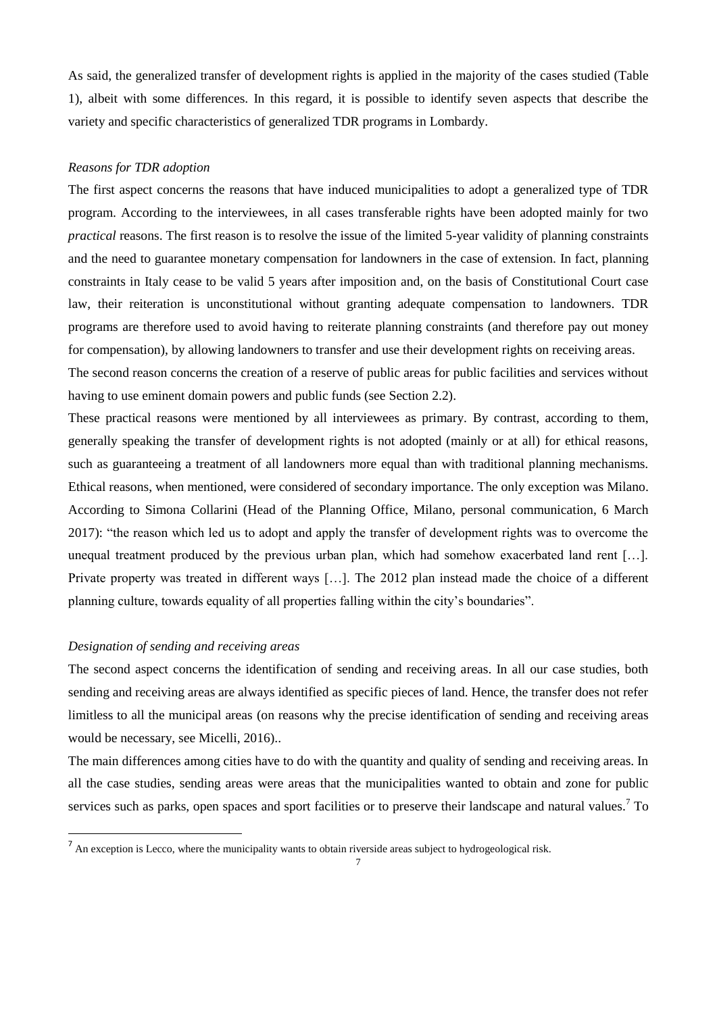As said, the generalized transfer of development rights is applied in the majority of the cases studied (Table 1), albeit with some differences. In this regard, it is possible to identify seven aspects that describe the variety and specific characteristics of generalized TDR programs in Lombardy.

# *Reasons for TDR adoption*

The first aspect concerns the reasons that have induced municipalities to adopt a generalized type of TDR program. According to the interviewees, in all cases transferable rights have been adopted mainly for two *practical* reasons. The first reason is to resolve the issue of the limited 5-year validity of planning constraints and the need to guarantee monetary compensation for landowners in the case of extension. In fact, planning constraints in Italy cease to be valid 5 years after imposition and, on the basis of Constitutional Court case law, their reiteration is unconstitutional without granting adequate compensation to landowners. TDR programs are therefore used to avoid having to reiterate planning constraints (and therefore pay out money for compensation), by allowing landowners to transfer and use their development rights on receiving areas.

The second reason concerns the creation of a reserve of public areas for public facilities and services without having to use eminent domain powers and public funds (see Section 2.2).

These practical reasons were mentioned by all interviewees as primary. By contrast, according to them, generally speaking the transfer of development rights is not adopted (mainly or at all) for ethical reasons, such as guaranteeing a treatment of all landowners more equal than with traditional planning mechanisms. Ethical reasons, when mentioned, were considered of secondary importance. The only exception was Milano. According to Simona Collarini (Head of the Planning Office, Milano, personal communication, 6 March 2017): "the reason which led us to adopt and apply the transfer of development rights was to overcome the unequal treatment produced by the previous urban plan, which had somehow exacerbated land rent […]. Private property was treated in different ways […]. The 2012 plan instead made the choice of a different planning culture, towards equality of all properties falling within the city's boundaries".

#### *Designation of sending and receiving areas*

**.** 

The second aspect concerns the identification of sending and receiving areas. In all our case studies, both sending and receiving areas are always identified as specific pieces of land. Hence, the transfer does not refer limitless to all the municipal areas (on reasons why the precise identification of sending and receiving areas would be necessary, see Micelli, 2016)..

The main differences among cities have to do with the quantity and quality of sending and receiving areas. In all the case studies, sending areas were areas that the municipalities wanted to obtain and zone for public services such as parks, open spaces and sport facilities or to preserve their landscape and natural values.<sup>7</sup> To

<sup>&</sup>lt;sup>7</sup> An exception is Lecco, where the municipality wants to obtain riverside areas subject to hydrogeological risk.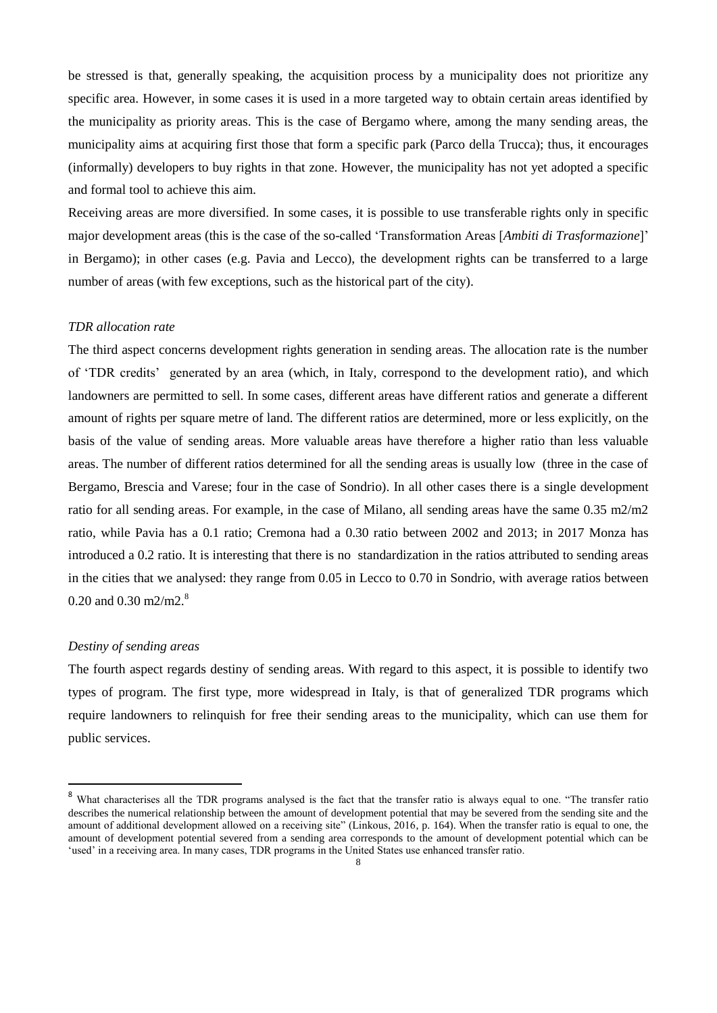be stressed is that, generally speaking, the acquisition process by a municipality does not prioritize any specific area. However, in some cases it is used in a more targeted way to obtain certain areas identified by the municipality as priority areas. This is the case of Bergamo where, among the many sending areas, the municipality aims at acquiring first those that form a specific park (Parco della Trucca); thus, it encourages (informally) developers to buy rights in that zone. However, the municipality has not yet adopted a specific and formal tool to achieve this aim.

Receiving areas are more diversified. In some cases, it is possible to use transferable rights only in specific major development areas (this is the case of the so-called 'Transformation Areas [*Ambiti di Trasformazione*]' in Bergamo); in other cases (e.g. Pavia and Lecco), the development rights can be transferred to a large number of areas (with few exceptions, such as the historical part of the city).

### *TDR allocation rate*

The third aspect concerns development rights generation in sending areas. The allocation rate is the number of 'TDR credits' generated by an area (which, in Italy, correspond to the development ratio), and which landowners are permitted to sell. In some cases, different areas have different ratios and generate a different amount of rights per square metre of land. The different ratios are determined, more or less explicitly, on the basis of the value of sending areas. More valuable areas have therefore a higher ratio than less valuable areas. The number of different ratios determined for all the sending areas is usually low (three in the case of Bergamo, Brescia and Varese; four in the case of Sondrio). In all other cases there is a single development ratio for all sending areas. For example, in the case of Milano, all sending areas have the same 0.35 m2/m2 ratio, while Pavia has a 0.1 ratio; Cremona had a 0.30 ratio between 2002 and 2013; in 2017 Monza has introduced a 0.2 ratio. It is interesting that there is no standardization in the ratios attributed to sending areas in the cities that we analysed: they range from 0.05 in Lecco to 0.70 in Sondrio, with average ratios between 0.20 and 0.30 m2/m2.<sup>8</sup>

#### *Destiny of sending areas*

 $\overline{a}$ 

The fourth aspect regards destiny of sending areas. With regard to this aspect, it is possible to identify two types of program. The first type, more widespread in Italy, is that of generalized TDR programs which require landowners to relinquish for free their sending areas to the municipality, which can use them for public services.

<sup>&</sup>lt;sup>8</sup> What characterises all the TDR programs analysed is the fact that the transfer ratio is always equal to one. "The transfer ratio describes the numerical relationship between the amount of development potential that may be severed from the sending site and the amount of additional development allowed on a receiving site" (Linkous, 2016, p. 164). When the transfer ratio is equal to one, the amount of development potential severed from a sending area corresponds to the amount of development potential which can be 'used' in a receiving area. In many cases, TDR programs in the United States use enhanced transfer ratio.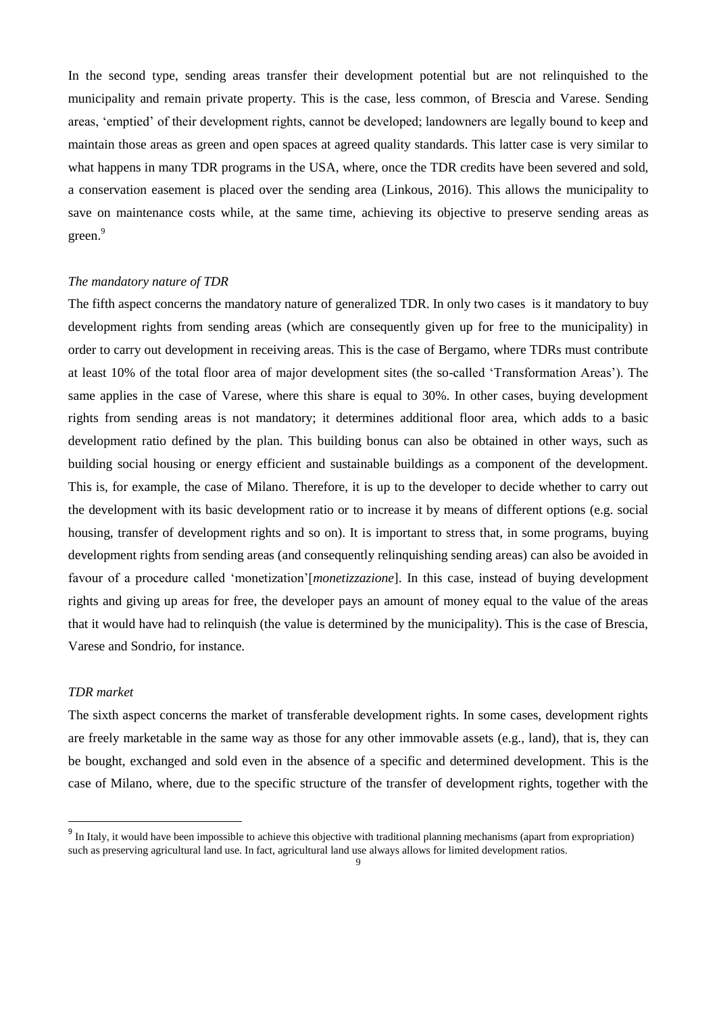In the second type, sending areas transfer their development potential but are not relinquished to the municipality and remain private property. This is the case, less common, of Brescia and Varese. Sending areas, 'emptied' of their development rights, cannot be developed; landowners are legally bound to keep and maintain those areas as green and open spaces at agreed quality standards. This latter case is very similar to what happens in many TDR programs in the USA, where, once the TDR credits have been severed and sold, a conservation easement is placed over the sending area (Linkous, 2016). This allows the municipality to save on maintenance costs while, at the same time, achieving its objective to preserve sending areas as green.<sup>9</sup>

## *The mandatory nature of TDR*

The fifth aspect concerns the mandatory nature of generalized TDR. In only two cases is it mandatory to buy development rights from sending areas (which are consequently given up for free to the municipality) in order to carry out development in receiving areas. This is the case of Bergamo, where TDRs must contribute at least 10% of the total floor area of major development sites (the so-called 'Transformation Areas'). The same applies in the case of Varese, where this share is equal to 30%. In other cases, buying development rights from sending areas is not mandatory; it determines additional floor area, which adds to a basic development ratio defined by the plan. This building bonus can also be obtained in other ways, such as building social housing or energy efficient and sustainable buildings as a component of the development. This is, for example, the case of Milano. Therefore, it is up to the developer to decide whether to carry out the development with its basic development ratio or to increase it by means of different options (e.g. social housing, transfer of development rights and so on). It is important to stress that, in some programs, buying development rights from sending areas (and consequently relinquishing sending areas) can also be avoided in favour of a procedure called 'monetization'[*monetizzazione*]. In this case, instead of buying development rights and giving up areas for free, the developer pays an amount of money equal to the value of the areas that it would have had to relinquish (the value is determined by the municipality). This is the case of Brescia, Varese and Sondrio, for instance.

#### *TDR market*

**.** 

The sixth aspect concerns the market of transferable development rights. In some cases, development rights are freely marketable in the same way as those for any other immovable assets (e.g., land), that is, they can be bought, exchanged and sold even in the absence of a specific and determined development. This is the case of Milano, where, due to the specific structure of the transfer of development rights, together with the

<sup>&</sup>lt;sup>9</sup> In Italy, it would have been impossible to achieve this objective with traditional planning mechanisms (apart from expropriation) such as preserving agricultural land use. In fact, agricultural land use always allows for limited development ratios.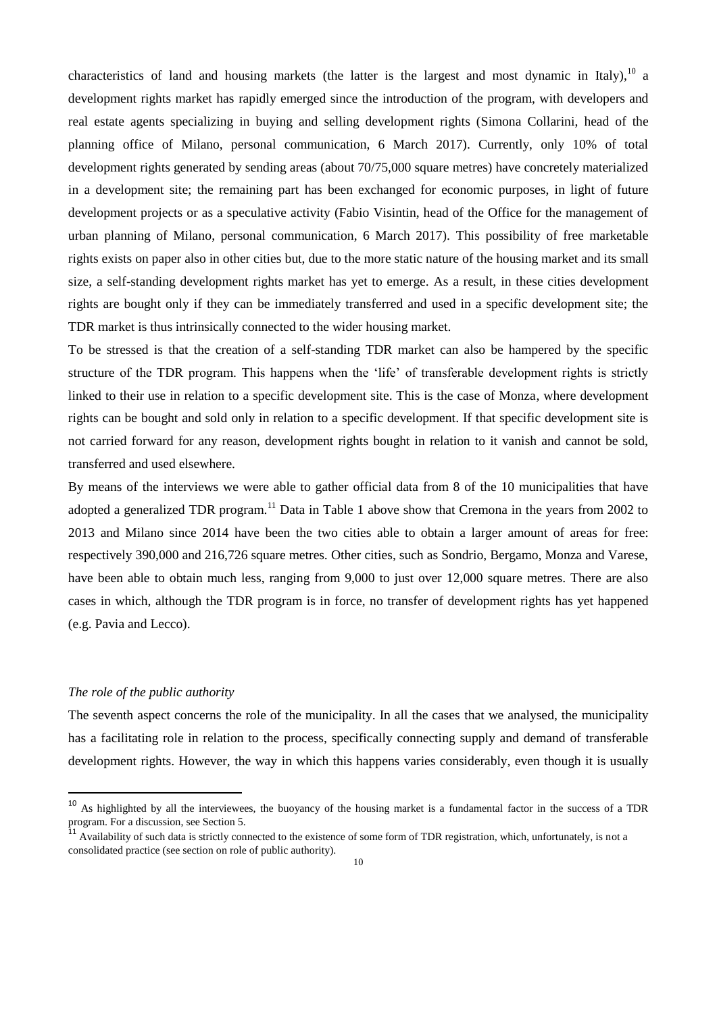characteristics of land and housing markets (the latter is the largest and most dynamic in Italy),  $^{10}$  a development rights market has rapidly emerged since the introduction of the program, with developers and real estate agents specializing in buying and selling development rights (Simona Collarini, head of the planning office of Milano, personal communication, 6 March 2017). Currently, only 10% of total development rights generated by sending areas (about 70/75,000 square metres) have concretely materialized in a development site; the remaining part has been exchanged for economic purposes, in light of future development projects or as a speculative activity (Fabio Visintin, head of the Office for the management of urban planning of Milano, personal communication, 6 March 2017). This possibility of free marketable rights exists on paper also in other cities but, due to the more static nature of the housing market and its small size, a self-standing development rights market has yet to emerge. As a result, in these cities development rights are bought only if they can be immediately transferred and used in a specific development site; the TDR market is thus intrinsically connected to the wider housing market.

To be stressed is that the creation of a self-standing TDR market can also be hampered by the specific structure of the TDR program. This happens when the 'life' of transferable development rights is strictly linked to their use in relation to a specific development site. This is the case of Monza, where development rights can be bought and sold only in relation to a specific development. If that specific development site is not carried forward for any reason, development rights bought in relation to it vanish and cannot be sold, transferred and used elsewhere.

By means of the interviews we were able to gather official data from 8 of the 10 municipalities that have adopted a generalized TDR program.<sup>11</sup> Data in Table 1 above show that Cremona in the years from 2002 to 2013 and Milano since 2014 have been the two cities able to obtain a larger amount of areas for free: respectively 390,000 and 216,726 square metres. Other cities, such as Sondrio, Bergamo, Monza and Varese, have been able to obtain much less, ranging from 9,000 to just over 12,000 square metres. There are also cases in which, although the TDR program is in force, no transfer of development rights has yet happened (e.g. Pavia and Lecco).

## *The role of the public authority*

**.** 

The seventh aspect concerns the role of the municipality. In all the cases that we analysed, the municipality has a facilitating role in relation to the process, specifically connecting supply and demand of transferable development rights. However, the way in which this happens varies considerably, even though it is usually

<sup>&</sup>lt;sup>10</sup> As highlighted by all the interviewees, the buoyancy of the housing market is a fundamental factor in the success of a TDR program. For a discussion, see Section 5.

 $11$  Availability of such data is strictly connected to the existence of some form of TDR registration, which, unfortunately, is not a consolidated practice (see section on role of public authority).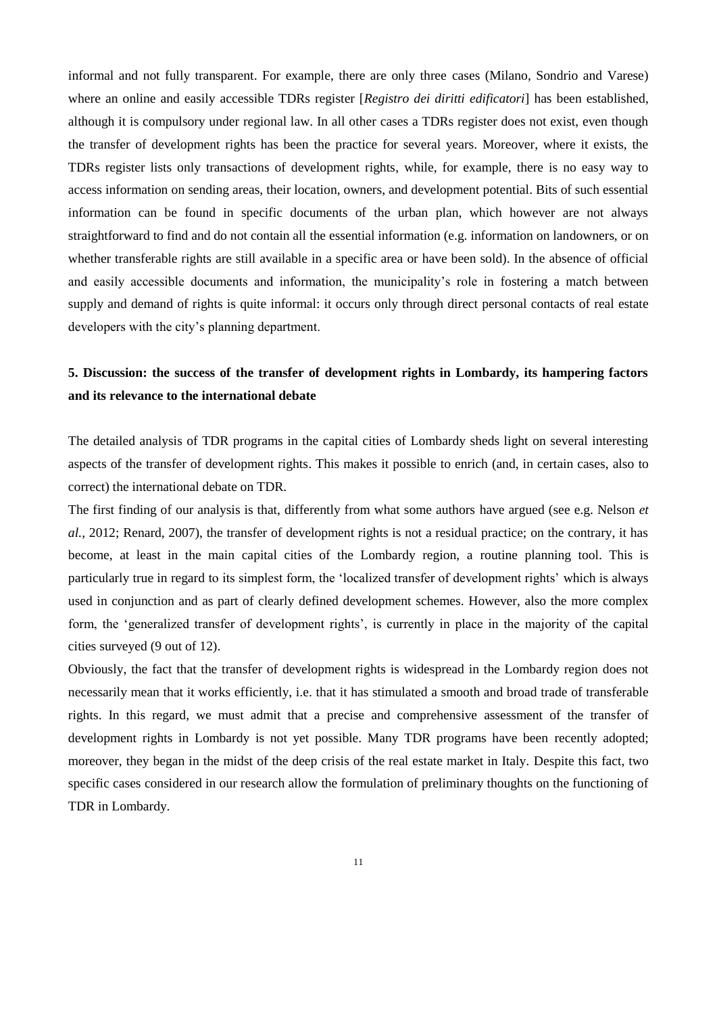informal and not fully transparent. For example, there are only three cases (Milano, Sondrio and Varese) where an online and easily accessible TDRs register [*Registro dei diritti edificatori*] has been established, although it is compulsory under regional law. In all other cases a TDRs register does not exist, even though the transfer of development rights has been the practice for several years. Moreover, where it exists, the TDRs register lists only transactions of development rights, while, for example, there is no easy way to access information on sending areas, their location, owners, and development potential. Bits of such essential information can be found in specific documents of the urban plan, which however are not always straightforward to find and do not contain all the essential information (e.g. information on landowners, or on whether transferable rights are still available in a specific area or have been sold). In the absence of official and easily accessible documents and information, the municipality's role in fostering a match between supply and demand of rights is quite informal: it occurs only through direct personal contacts of real estate developers with the city's planning department.

# **5. Discussion: the success of the transfer of development rights in Lombardy, its hampering factors and its relevance to the international debate**

The detailed analysis of TDR programs in the capital cities of Lombardy sheds light on several interesting aspects of the transfer of development rights. This makes it possible to enrich (and, in certain cases, also to correct) the international debate on TDR.

The first finding of our analysis is that, differently from what some authors have argued (see e.g. Nelson *et al.*, 2012; Renard, 2007), the transfer of development rights is not a residual practice; on the contrary, it has become, at least in the main capital cities of the Lombardy region, a routine planning tool. This is particularly true in regard to its simplest form, the 'localized transfer of development rights' which is always used in conjunction and as part of clearly defined development schemes. However, also the more complex form, the 'generalized transfer of development rights', is currently in place in the majority of the capital cities surveyed (9 out of 12).

Obviously, the fact that the transfer of development rights is widespread in the Lombardy region does not necessarily mean that it works efficiently, i.e. that it has stimulated a smooth and broad trade of transferable rights. In this regard, we must admit that a precise and comprehensive assessment of the transfer of development rights in Lombardy is not yet possible. Many TDR programs have been recently adopted; moreover, they began in the midst of the deep crisis of the real estate market in Italy. Despite this fact, two specific cases considered in our research allow the formulation of preliminary thoughts on the functioning of TDR in Lombardy.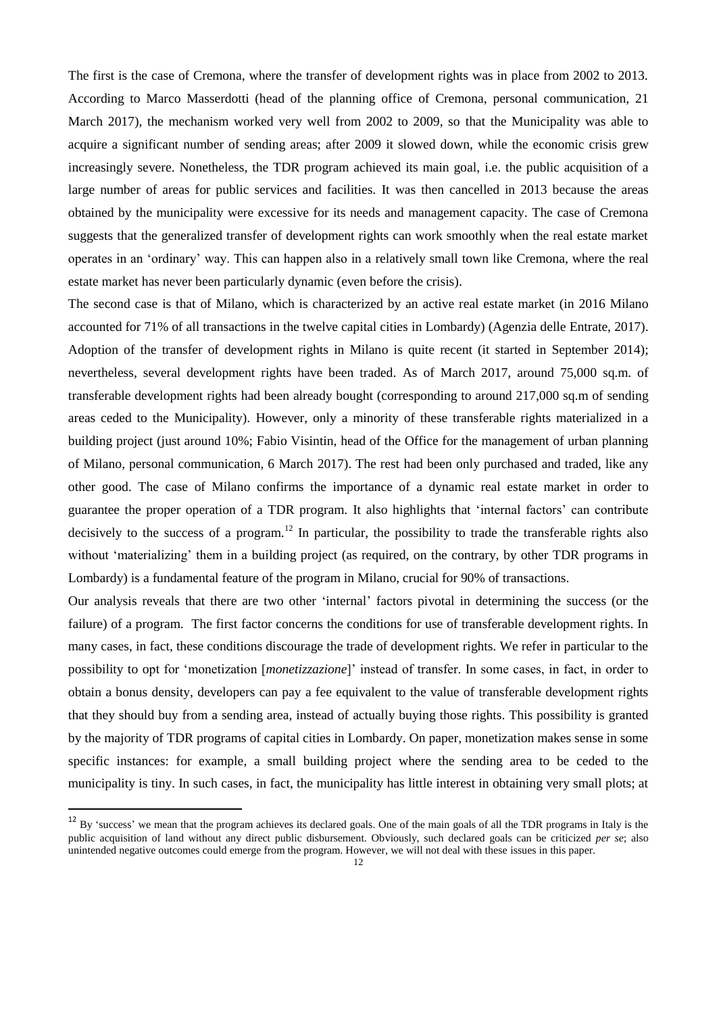The first is the case of Cremona, where the transfer of development rights was in place from 2002 to 2013. According to Marco Masserdotti (head of the planning office of Cremona, personal communication, 21 March 2017), the mechanism worked very well from 2002 to 2009, so that the Municipality was able to acquire a significant number of sending areas; after 2009 it slowed down, while the economic crisis grew increasingly severe. Nonetheless, the TDR program achieved its main goal, i.e. the public acquisition of a large number of areas for public services and facilities. It was then cancelled in 2013 because the areas obtained by the municipality were excessive for its needs and management capacity. The case of Cremona suggests that the generalized transfer of development rights can work smoothly when the real estate market operates in an 'ordinary' way. This can happen also in a relatively small town like Cremona, where the real estate market has never been particularly dynamic (even before the crisis).

The second case is that of Milano, which is characterized by an active real estate market (in 2016 Milano accounted for 71% of all transactions in the twelve capital cities in Lombardy) (Agenzia delle Entrate, 2017). Adoption of the transfer of development rights in Milano is quite recent (it started in September 2014); nevertheless, several development rights have been traded. As of March 2017, around 75,000 sq.m. of transferable development rights had been already bought (corresponding to around 217,000 sq.m of sending areas ceded to the Municipality). However, only a minority of these transferable rights materialized in a building project (just around 10%; Fabio Visintin, head of the Office for the management of urban planning of Milano, personal communication, 6 March 2017). The rest had been only purchased and traded, like any other good. The case of Milano confirms the importance of a dynamic real estate market in order to guarantee the proper operation of a TDR program. It also highlights that 'internal factors' can contribute decisively to the success of a program.<sup>12</sup> In particular, the possibility to trade the transferable rights also without 'materializing' them in a building project (as required, on the contrary, by other TDR programs in Lombardy) is a fundamental feature of the program in Milano, crucial for 90% of transactions.

Our analysis reveals that there are two other 'internal' factors pivotal in determining the success (or the failure) of a program. The first factor concerns the conditions for use of transferable development rights. In many cases, in fact, these conditions discourage the trade of development rights. We refer in particular to the possibility to opt for 'monetization [*monetizzazione*]' instead of transfer. In some cases, in fact, in order to obtain a bonus density, developers can pay a fee equivalent to the value of transferable development rights that they should buy from a sending area, instead of actually buying those rights. This possibility is granted by the majority of TDR programs of capital cities in Lombardy. On paper, monetization makes sense in some specific instances: for example, a small building project where the sending area to be ceded to the municipality is tiny. In such cases, in fact, the municipality has little interest in obtaining very small plots; at

 $\overline{a}$ 

<sup>&</sup>lt;sup>12</sup> Bv 'success' we mean that the program achieves its declared goals. One of the main goals of all the TDR programs in Italy is the public acquisition of land without any direct public disbursement. Obviously, such declared goals can be criticized *per se*; also unintended negative outcomes could emerge from the program. However, we will not deal with these issues in this paper.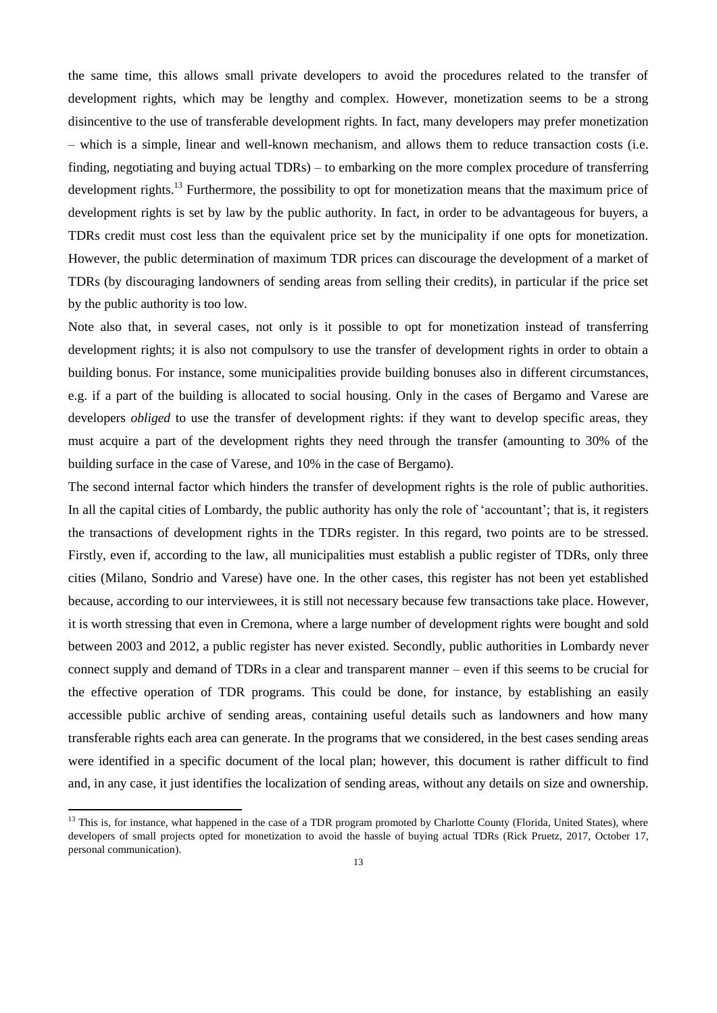the same time, this allows small private developers to avoid the procedures related to the transfer of development rights, which may be lengthy and complex. However, monetization seems to be a strong disincentive to the use of transferable development rights. In fact, many developers may prefer monetization – which is a simple, linear and well-known mechanism, and allows them to reduce transaction costs (i.e. finding, negotiating and buying actual TDRs) – to embarking on the more complex procedure of transferring development rights.<sup>13</sup> Furthermore, the possibility to opt for monetization means that the maximum price of development rights is set by law by the public authority. In fact, in order to be advantageous for buyers, a TDRs credit must cost less than the equivalent price set by the municipality if one opts for monetization. However, the public determination of maximum TDR prices can discourage the development of a market of TDRs (by discouraging landowners of sending areas from selling their credits), in particular if the price set by the public authority is too low.

Note also that, in several cases, not only is it possible to opt for monetization instead of transferring development rights; it is also not compulsory to use the transfer of development rights in order to obtain a building bonus. For instance, some municipalities provide building bonuses also in different circumstances, e.g. if a part of the building is allocated to social housing. Only in the cases of Bergamo and Varese are developers *obliged* to use the transfer of development rights: if they want to develop specific areas, they must acquire a part of the development rights they need through the transfer (amounting to 30% of the building surface in the case of Varese, and 10% in the case of Bergamo).

The second internal factor which hinders the transfer of development rights is the role of public authorities. In all the capital cities of Lombardy, the public authority has only the role of 'accountant'; that is, it registers the transactions of development rights in the TDRs register. In this regard, two points are to be stressed. Firstly, even if, according to the law, all municipalities must establish a public register of TDRs, only three cities (Milano, Sondrio and Varese) have one. In the other cases, this register has not been yet established because, according to our interviewees, it is still not necessary because few transactions take place. However, it is worth stressing that even in Cremona, where a large number of development rights were bought and sold between 2003 and 2012, a public register has never existed. Secondly, public authorities in Lombardy never connect supply and demand of TDRs in a clear and transparent manner – even if this seems to be crucial for the effective operation of TDR programs. This could be done, for instance, by establishing an easily accessible public archive of sending areas, containing useful details such as landowners and how many transferable rights each area can generate. In the programs that we considered, in the best cases sending areas were identified in a specific document of the local plan; however, this document is rather difficult to find and, in any case, it just identifies the localization of sending areas, without any details on size and ownership.

1

 $13$  This is, for instance, what happened in the case of a TDR program promoted by Charlotte County (Florida, United States), where developers of small projects opted for monetization to avoid the hassle of buying actual TDRs (Rick Pruetz, 2017, October 17, personal communication).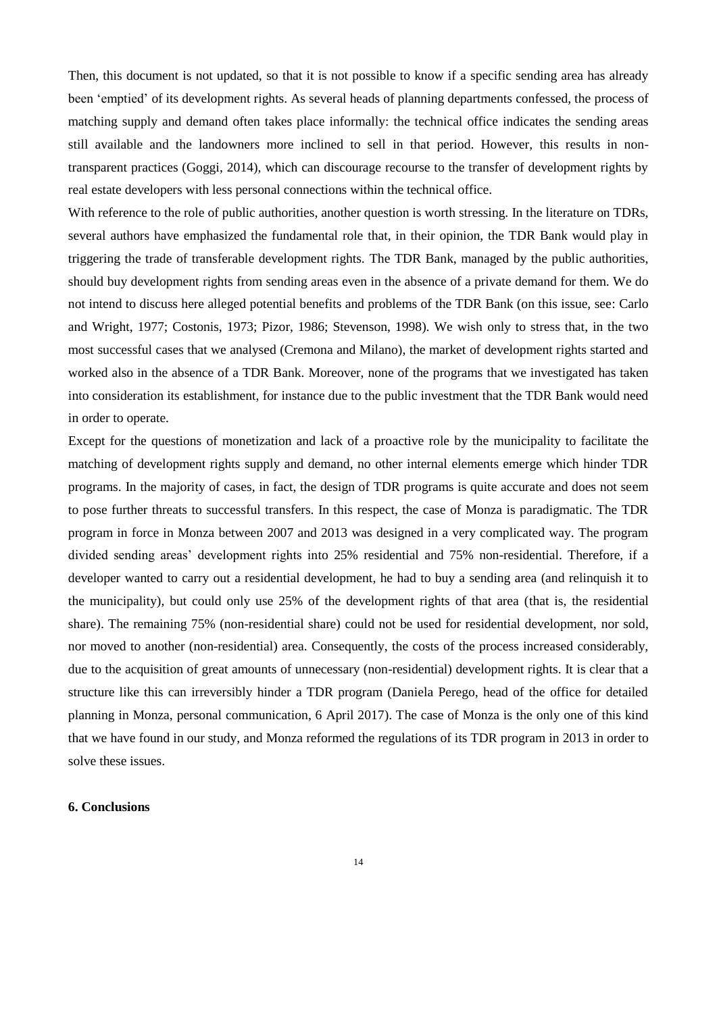Then, this document is not updated, so that it is not possible to know if a specific sending area has already been 'emptied' of its development rights. As several heads of planning departments confessed, the process of matching supply and demand often takes place informally: the technical office indicates the sending areas still available and the landowners more inclined to sell in that period. However, this results in nontransparent practices (Goggi, 2014), which can discourage recourse to the transfer of development rights by real estate developers with less personal connections within the technical office.

With reference to the role of public authorities, another question is worth stressing. In the literature on TDRs, several authors have emphasized the fundamental role that, in their opinion, the TDR Bank would play in triggering the trade of transferable development rights. The TDR Bank, managed by the public authorities, should buy development rights from sending areas even in the absence of a private demand for them. We do not intend to discuss here alleged potential benefits and problems of the TDR Bank (on this issue, see: Carlo and Wright, 1977; Costonis, 1973; Pizor, 1986; Stevenson, 1998). We wish only to stress that, in the two most successful cases that we analysed (Cremona and Milano), the market of development rights started and worked also in the absence of a TDR Bank. Moreover, none of the programs that we investigated has taken into consideration its establishment, for instance due to the public investment that the TDR Bank would need in order to operate.

Except for the questions of monetization and lack of a proactive role by the municipality to facilitate the matching of development rights supply and demand, no other internal elements emerge which hinder TDR programs. In the majority of cases, in fact, the design of TDR programs is quite accurate and does not seem to pose further threats to successful transfers. In this respect, the case of Monza is paradigmatic. The TDR program in force in Monza between 2007 and 2013 was designed in a very complicated way. The program divided sending areas' development rights into 25% residential and 75% non-residential. Therefore, if a developer wanted to carry out a residential development, he had to buy a sending area (and relinquish it to the municipality), but could only use 25% of the development rights of that area (that is, the residential share). The remaining 75% (non-residential share) could not be used for residential development, nor sold, nor moved to another (non-residential) area. Consequently, the costs of the process increased considerably, due to the acquisition of great amounts of unnecessary (non-residential) development rights. It is clear that a structure like this can irreversibly hinder a TDR program (Daniela Perego, head of the office for detailed planning in Monza, personal communication, 6 April 2017). The case of Monza is the only one of this kind that we have found in our study, and Monza reformed the regulations of its TDR program in 2013 in order to solve these issues.

#### **6. Conclusions**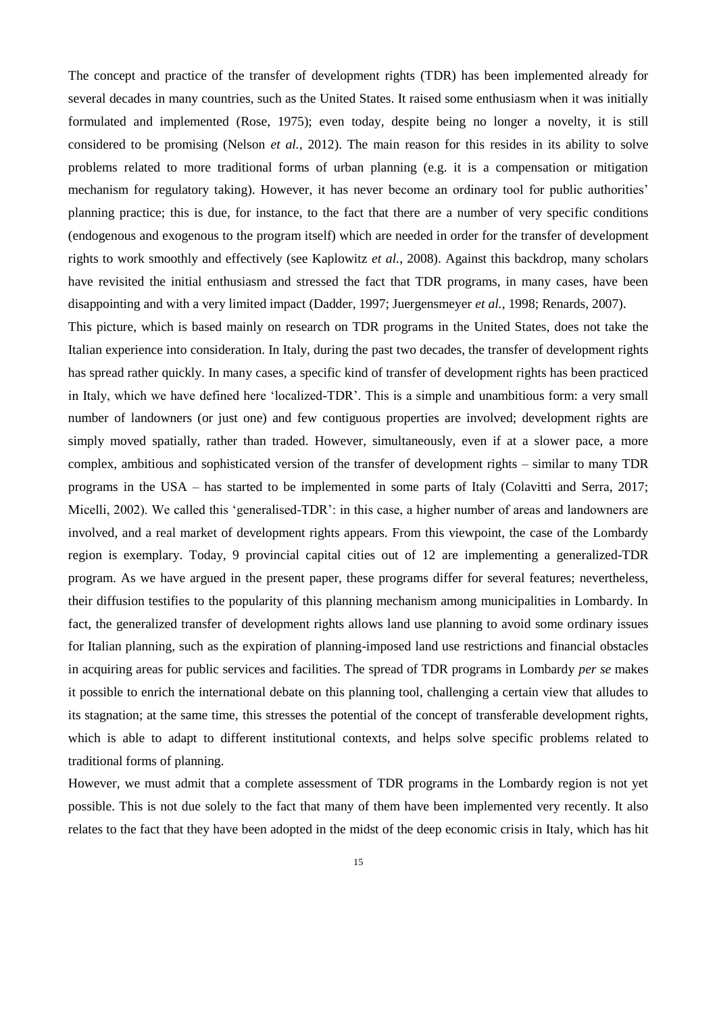The concept and practice of the transfer of development rights (TDR) has been implemented already for several decades in many countries, such as the United States. It raised some enthusiasm when it was initially formulated and implemented (Rose, 1975); even today, despite being no longer a novelty, it is still considered to be promising (Nelson *et al.*, 2012). The main reason for this resides in its ability to solve problems related to more traditional forms of urban planning (e.g. it is a compensation or mitigation mechanism for regulatory taking). However, it has never become an ordinary tool for public authorities' planning practice; this is due, for instance, to the fact that there are a number of very specific conditions (endogenous and exogenous to the program itself) which are needed in order for the transfer of development rights to work smoothly and effectively (see Kaplowitz *et al.*, 2008). Against this backdrop, many scholars have revisited the initial enthusiasm and stressed the fact that TDR programs, in many cases, have been disappointing and with a very limited impact (Dadder, 1997; Juergensmeyer *et al.*, 1998; Renards, 2007).

This picture, which is based mainly on research on TDR programs in the United States, does not take the Italian experience into consideration. In Italy, during the past two decades, the transfer of development rights has spread rather quickly. In many cases, a specific kind of transfer of development rights has been practiced in Italy, which we have defined here 'localized-TDR'. This is a simple and unambitious form: a very small number of landowners (or just one) and few contiguous properties are involved; development rights are simply moved spatially, rather than traded. However, simultaneously, even if at a slower pace, a more complex, ambitious and sophisticated version of the transfer of development rights – similar to many TDR programs in the USA – has started to be implemented in some parts of Italy (Colavitti and Serra, 2017; Micelli, 2002). We called this 'generalised-TDR': in this case, a higher number of areas and landowners are involved, and a real market of development rights appears. From this viewpoint, the case of the Lombardy region is exemplary. Today, 9 provincial capital cities out of 12 are implementing a generalized-TDR program. As we have argued in the present paper, these programs differ for several features; nevertheless, their diffusion testifies to the popularity of this planning mechanism among municipalities in Lombardy. In fact, the generalized transfer of development rights allows land use planning to avoid some ordinary issues for Italian planning, such as the expiration of planning-imposed land use restrictions and financial obstacles in acquiring areas for public services and facilities. The spread of TDR programs in Lombardy *per se* makes it possible to enrich the international debate on this planning tool, challenging a certain view that alludes to its stagnation; at the same time, this stresses the potential of the concept of transferable development rights, which is able to adapt to different institutional contexts, and helps solve specific problems related to traditional forms of planning.

However, we must admit that a complete assessment of TDR programs in the Lombardy region is not yet possible. This is not due solely to the fact that many of them have been implemented very recently. It also relates to the fact that they have been adopted in the midst of the deep economic crisis in Italy, which has hit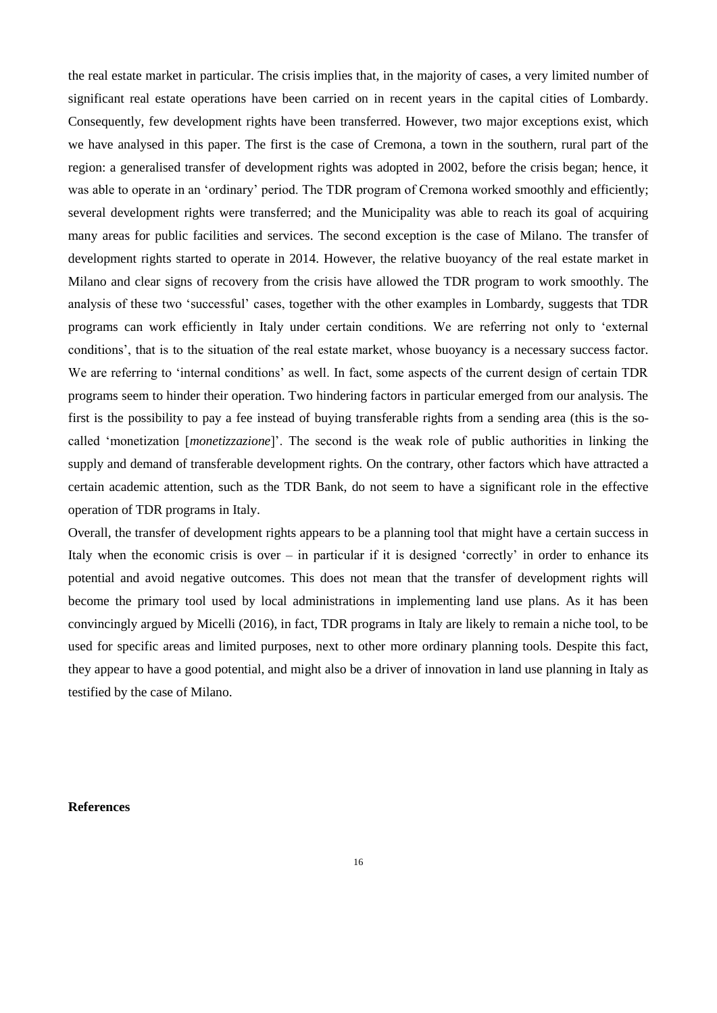the real estate market in particular. The crisis implies that, in the majority of cases, a very limited number of significant real estate operations have been carried on in recent years in the capital cities of Lombardy. Consequently, few development rights have been transferred. However, two major exceptions exist, which we have analysed in this paper. The first is the case of Cremona, a town in the southern, rural part of the region: a generalised transfer of development rights was adopted in 2002, before the crisis began; hence, it was able to operate in an 'ordinary' period. The TDR program of Cremona worked smoothly and efficiently; several development rights were transferred; and the Municipality was able to reach its goal of acquiring many areas for public facilities and services. The second exception is the case of Milano. The transfer of development rights started to operate in 2014. However, the relative buoyancy of the real estate market in Milano and clear signs of recovery from the crisis have allowed the TDR program to work smoothly. The analysis of these two 'successful' cases, together with the other examples in Lombardy, suggests that TDR programs can work efficiently in Italy under certain conditions. We are referring not only to 'external conditions', that is to the situation of the real estate market, whose buoyancy is a necessary success factor. We are referring to 'internal conditions' as well. In fact, some aspects of the current design of certain TDR programs seem to hinder their operation. Two hindering factors in particular emerged from our analysis. The first is the possibility to pay a fee instead of buying transferable rights from a sending area (this is the socalled 'monetization [*monetizzazione*]'. The second is the weak role of public authorities in linking the supply and demand of transferable development rights. On the contrary, other factors which have attracted a certain academic attention, such as the TDR Bank, do not seem to have a significant role in the effective operation of TDR programs in Italy.

Overall, the transfer of development rights appears to be a planning tool that might have a certain success in Italy when the economic crisis is over – in particular if it is designed 'correctly' in order to enhance its potential and avoid negative outcomes. This does not mean that the transfer of development rights will become the primary tool used by local administrations in implementing land use plans. As it has been convincingly argued by Micelli (2016), in fact, TDR programs in Italy are likely to remain a niche tool, to be used for specific areas and limited purposes, next to other more ordinary planning tools. Despite this fact, they appear to have a good potential, and might also be a driver of innovation in land use planning in Italy as testified by the case of Milano.

**References**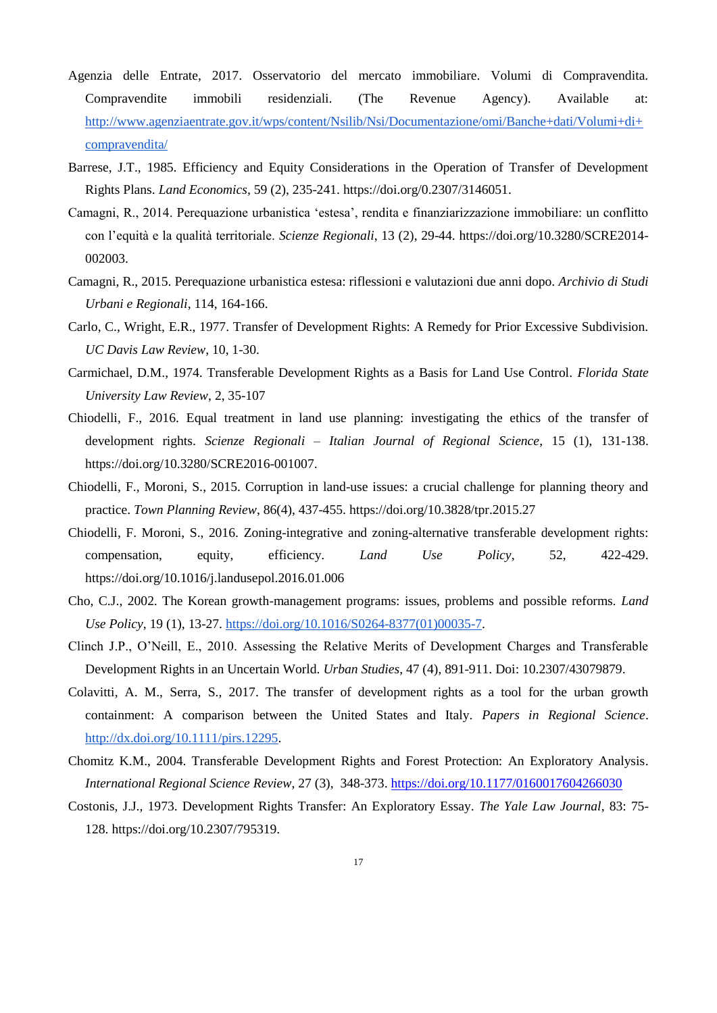- Agenzia delle Entrate, 2017. Osservatorio del mercato immobiliare. Volumi di Compravendita. Compravendite immobili residenziali. (The Revenue Agency). Available at: [http://www.agenziaentrate.gov.it/wps/content/Nsilib/Nsi/Documentazione/omi/Banche+dati/Volumi+di+](http://www.agenziaentrate.gov.it/wps/content/Nsilib/Nsi/Documentazione/omi/Banche+dati/Volumi+di+compravendita/) [compravendita/](http://www.agenziaentrate.gov.it/wps/content/Nsilib/Nsi/Documentazione/omi/Banche+dati/Volumi+di+compravendita/)
- Barrese, J.T., 1985. Efficiency and Equity Considerations in the Operation of Transfer of Development Rights Plans. *Land Economics*, 59 (2), 235-241. https://doi.org/0.2307/3146051.
- Camagni, R., 2014. Perequazione urbanistica 'estesa', rendita e finanziarizzazione immobiliare: un conflitto con l'equità e la qualità territoriale. *Scienze Regionali*, 13 (2), 29-44. https://doi.org/10.3280/SCRE2014- 002003.
- Camagni, R., 2015. Perequazione urbanistica estesa: riflessioni e valutazioni due anni dopo. *Archivio di Studi Urbani e Regionali*, 114, 164-166.
- Carlo, C., Wright, E.R., 1977. Transfer of Development Rights: A Remedy for Prior Excessive Subdivision. *UC Davis Law Review*, 10, 1-30.
- Carmichael, D.M., 1974. Transferable Development Rights as a Basis for Land Use Control. *Florida State University Law Review*, 2, 35-107
- Chiodelli, F., 2016. Equal treatment in land use planning: investigating the ethics of the transfer of development rights. *Scienze Regionali – Italian Journal of Regional Science*, 15 (1), 131-138. https://doi.org/10.3280/SCRE2016-001007.
- Chiodelli, F., Moroni, S., 2015. Corruption in land-use issues: a crucial challenge for planning theory and practice. *Town Planning Review*, 86(4), 437-455. https://doi.org/10.3828/tpr.2015.27
- Chiodelli, F. Moroni, S., 2016. Zoning-integrative and zoning-alternative transferable development rights: compensation, equity, efficiency. *Land Use Policy*, 52, 422-429. https://doi.org/10.1016/j.landusepol.2016.01.006
- Cho, C.J., 2002. The Korean growth-management programs: issues, problems and possible reforms. *Land Use Policy*, 19 (1), 13-27. [https://doi.org/10.1016/S0264-8377\(01\)00035-7.](https://doi.org/10.1016/S0264-8377(01)00035-7)
- Clinch J.P., O'Neill, E., 2010. Assessing the Relative Merits of Development Charges and Transferable Development Rights in an Uncertain World. *Urban Studies*, 47 (4), 891-911. Doi: 10.2307/43079879.
- Colavitti, A. M., Serra, S., 2017. The transfer of development rights as a tool for the urban growth containment: A comparison between the United States and Italy. *Papers in Regional Science*. [http://dx.doi.org/10.1111/pirs.12295.](http://dx.doi.org/10.1111/pirs.12295)
- Chomitz K.M., 2004. Transferable Development Rights and Forest Protection: An Exploratory Analysis. *International Regional Science Review*, 27 (3), 348-373. <https://doi.org/10.1177/0160017604266030>
- Costonis, J.J., 1973. Development Rights Transfer: An Exploratory Essay. *The Yale Law Journal*, 83: 75- 128. https://doi.org/10.2307/795319.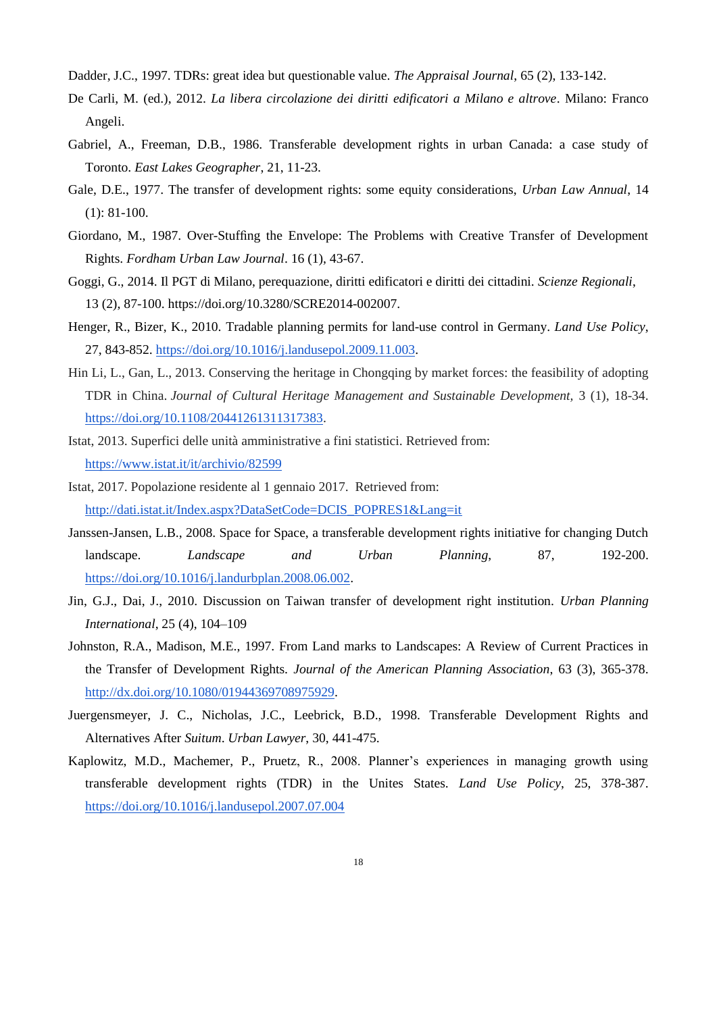Dadder, J.C., 1997. TDRs: great idea but questionable value. *The Appraisal Journal*, 65 (2), 133-142.

- De Carli, M. (ed.), 2012. *La libera circolazione dei diritti edificatori a Milano e altrove*. Milano: Franco Angeli.
- Gabriel, A., Freeman, D.B., 1986. Transferable development rights in urban Canada: a case study of Toronto. *East Lakes Geographer*, 21, 11-23.
- Gale, D.E., 1977. The transfer of development rights: some equity considerations, *Urban Law Annual*, 14 (1): 81-100.
- Giordano, M., 1987. Over-Stuffing the Envelope: The Problems with Creative Transfer of Development Rights. *Fordham Urban Law Journal*. 16 (1), 43-67.
- Goggi, G., 2014. Il PGT di Milano, perequazione, diritti edificatori e diritti dei cittadini. *Scienze Regionali*, 13 (2), 87-100. https://doi.org/10.3280/SCRE2014-002007.
- Henger, R., Bizer, K., 2010. Tradable planning permits for land-use control in Germany. *Land Use Policy*, 27, 843-852. [https://doi.org/10.1016/j.landusepol.2009.11.003.](https://doi.org/10.1016/j.landusepol.2009.11.003)
- Hin Li, L., Gan, L., 2013. Conserving the heritage in Chongqing by market forces: the feasibility of adopting TDR in China. *Journal of Cultural Heritage Management and Sustainable Development,* 3 (1), 18-34. [https://doi.org/10.1108/20441261311317383.](https://doi.org/10.1108/20441261311317383)
- Istat, 2013. Superfici delle unità amministrative a fini statistici. Retrieved from: <https://www.istat.it/it/archivio/82599>
- Istat, 2017. Popolazione residente al 1 gennaio 2017. Retrieved from: [http://dati.istat.it/Index.aspx?DataSetCode=DCIS\\_POPRES1&Lang=it](http://dati.istat.it/Index.aspx?DataSetCode=DCIS_POPRES1&Lang=it)
- Janssen-Jansen, L.B., 2008. Space for Space, a transferable development rights initiative for changing Dutch landscape. *Landscape and Urban Planning*, 87, 192-200. [https://doi.org/10.1016/j.landurbplan.2008.06.002.](https://doi.org/10.1016/j.landurbplan.2008.06.002)
- Jin, G.J., Dai, J., 2010. Discussion on Taiwan transfer of development right institution. *Urban Planning International*, 25 (4), 104–109
- Johnston, R.A., Madison, M.E., 1997. From Land marks to Landscapes: A Review of Current Practices in the Transfer of Development Rights. *Journal of the American Planning Association*, 63 (3), 365-378. [http://dx.doi.org/10.1080/01944369708975929.](http://dx.doi.org/10.1080/01944369708975929)
- Juergensmeyer, J. C., Nicholas, J.C., Leebrick, B.D., 1998. Transferable Development Rights and Alternatives After *Suitum*. *Urban Lawyer*, 30, 441-475.
- Kaplowitz, M.D., Machemer, P., Pruetz, R., 2008. Planner's experiences in managing growth using transferable development rights (TDR) in the Unites States. *Land Use Policy*, 25, 378-387. <https://doi.org/10.1016/j.landusepol.2007.07.004>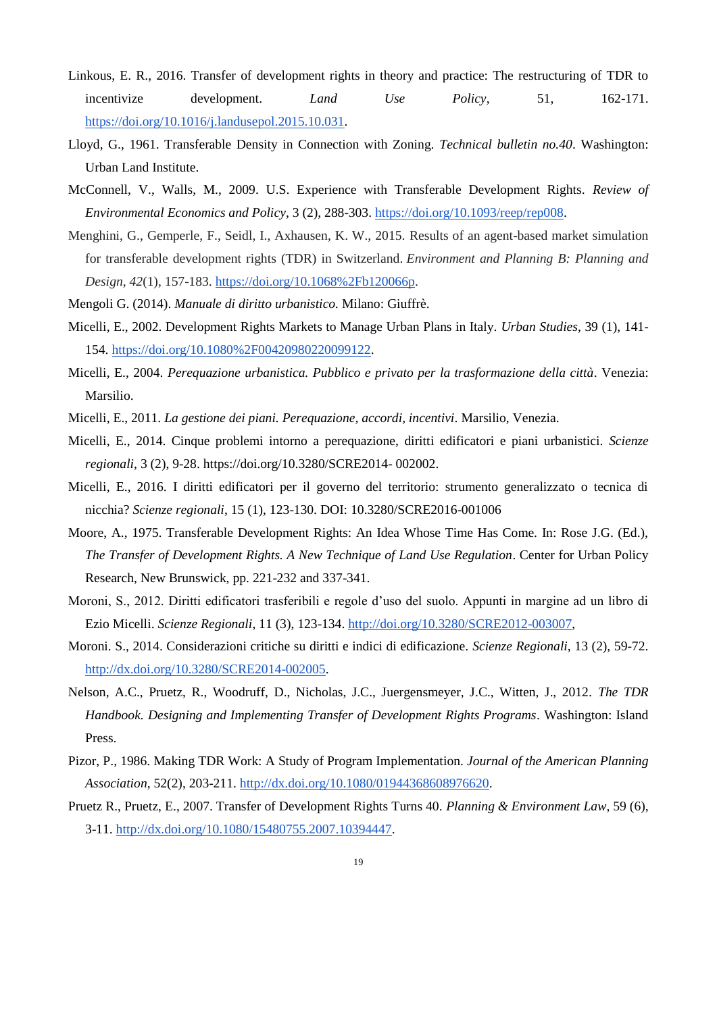- Linkous, E. R., 2016. Transfer of development rights in theory and practice: The restructuring of TDR to incentivize development. *Land Use Policy*, 51, 162-171. [https://doi.org/10.1016/j.landusepol.2015.10.031.](https://doi.org/10.1016/j.landusepol.2015.10.031)
- Lloyd, G., 1961. Transferable Density in Connection with Zoning. *Technical bulletin no.40*. Washington: Urban Land Institute.
- McConnell, V., Walls, M., 2009. U.S. Experience with Transferable Development Rights. *Review of Environmental Economics and Policy*, 3 (2), 288-303. [https://doi.org/10.1093/reep/rep008.](https://doi.org/10.1093/reep/rep008)
- Menghini, G., Gemperle, F., Seidl, I., Axhausen, K. W., 2015. Results of an agent-based market simulation for transferable development rights (TDR) in Switzerland. *Environment and Planning B: Planning and Design*, *42*(1), 157-183. [https://doi.org/10.1068%2Fb120066p.](https://doi.org/10.1068%2Fb120066p)
- Mengoli G. (2014). *Manuale di diritto urbanistico.* Milano: Giuffrè.
- Micelli, E., 2002. Development Rights Markets to Manage Urban Plans in Italy. *Urban Studies*, 39 (1), 141- 154. [https://doi.org/10.1080%2F00420980220099122.](https://doi.org/10.1080%2F00420980220099122)
- Micelli, E., 2004. *Perequazione urbanistica. Pubblico e privato per la trasformazione della città*. Venezia: Marsilio.
- Micelli, E., 2011. *La gestione dei piani. Perequazione, accordi, incentivi*. Marsilio, Venezia.
- Micelli, E., 2014. Cinque problemi intorno a perequazione, diritti edificatori e piani urbanistici. *Scienze regionali*, 3 (2), 9-28. https://doi.org/10.3280/SCRE2014- 002002.
- Micelli, E., 2016. I diritti edificatori per il governo del territorio: strumento generalizzato o tecnica di nicchia? *Scienze regionali*, 15 (1), 123-130. DOI: 10.3280/SCRE2016-001006
- Moore, A., 1975. Transferable Development Rights: An Idea Whose Time Has Come. In: Rose J.G. (Ed.), *The Transfer of Development Rights. A New Technique of Land Use Regulation*. Center for Urban Policy Research, New Brunswick, pp. 221-232 and 337-341.
- Moroni, S., 2012. Diritti edificatori trasferibili e regole d'uso del suolo. Appunti in margine ad un libro di Ezio Micelli. *Scienze Regionali*, 11 (3), 123-134. [http://doi.org/10.3280/SCRE2012-003007,](http://doi.org/10.3280/SCRE2012-003007)
- Moroni. S., 2014. Considerazioni critiche su diritti e indici di edificazione. *Scienze Regionali*, 13 (2), 59-72. [http://dx.doi.org/10.3280/SCRE2014-002005.](http://dx.doi.org/10.3280/SCRE2014-002005)
- Nelson, A.C., Pruetz, R., Woodruff, D., Nicholas, J.C., Juergensmeyer, J.C., Witten, J., 2012. *The TDR Handbook. Designing and Implementing Transfer of Development Rights Programs*. Washington: Island Press.
- Pizor, P., 1986. Making TDR Work: A Study of Program Implementation. *Journal of the American Planning Association*, 52(2), 203-211. [http://dx.doi.org/10.1080/01944368608976620.](http://dx.doi.org/10.1080/01944368608976620)
- Pruetz R., Pruetz, E., 2007. Transfer of Development Rights Turns 40. *Planning & Environment Law*, 59 (6), 3-11. [http://dx.doi.org/10.1080/15480755.2007.10394447.](http://dx.doi.org/10.1080/15480755.2007.10394447)